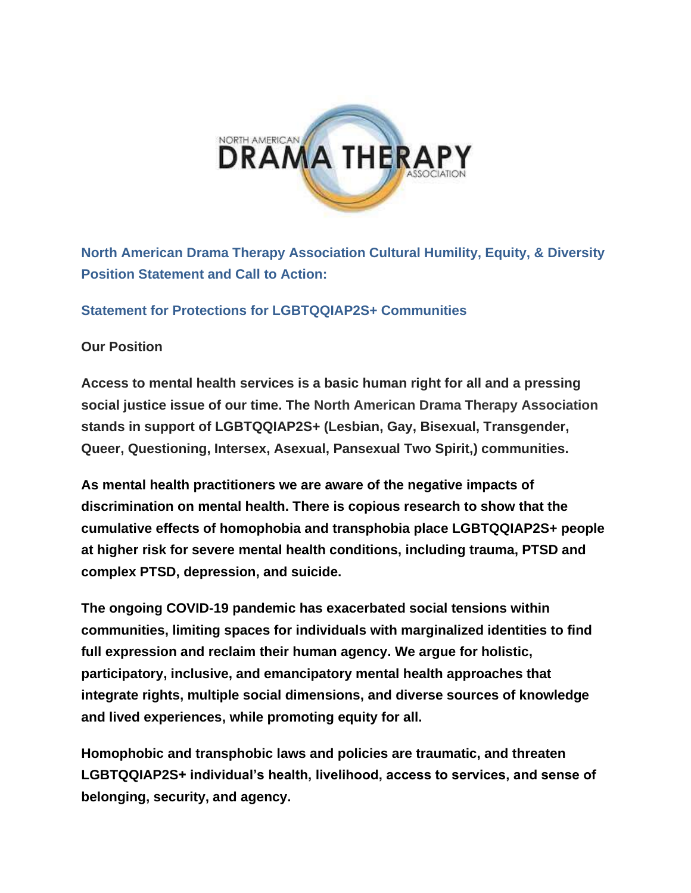

**North American Drama Therapy Association Cultural Humility, Equity, & Diversity Position Statement and Call to Action:**

#### **Statement for Protections for LGBTQQIAP2S+ Communities**

#### **Our Position**

**Access to mental health services is a basic human right for all and a pressing social justice issue of our time. The North American Drama Therapy Association stands in support of LGBTQQIAP2S+ (Lesbian, Gay, Bisexual, Transgender, Queer, Questioning, Intersex, Asexual, Pansexual Two Spirit,) communities.** 

**As mental health practitioners we are aware of the negative impacts of discrimination on mental health. There is copious research to show that the cumulative effects of homophobia and transphobia place LGBTQQIAP2S+ people at higher risk for severe mental health conditions, including trauma, PTSD and complex PTSD, depression, and suicide.**

**The ongoing COVID-19 pandemic has exacerbated social tensions within communities, limiting spaces for individuals with marginalized identities to find full expression and reclaim their human agency. We argue for holistic, participatory, inclusive, and emancipatory mental health approaches that integrate rights, multiple social dimensions, and diverse sources of knowledge and lived experiences, while promoting equity for all.**

**Homophobic and transphobic laws and policies are traumatic, and threaten LGBTQQIAP2S+ individual's health, livelihood, access to services, and sense of belonging, security, and agency.**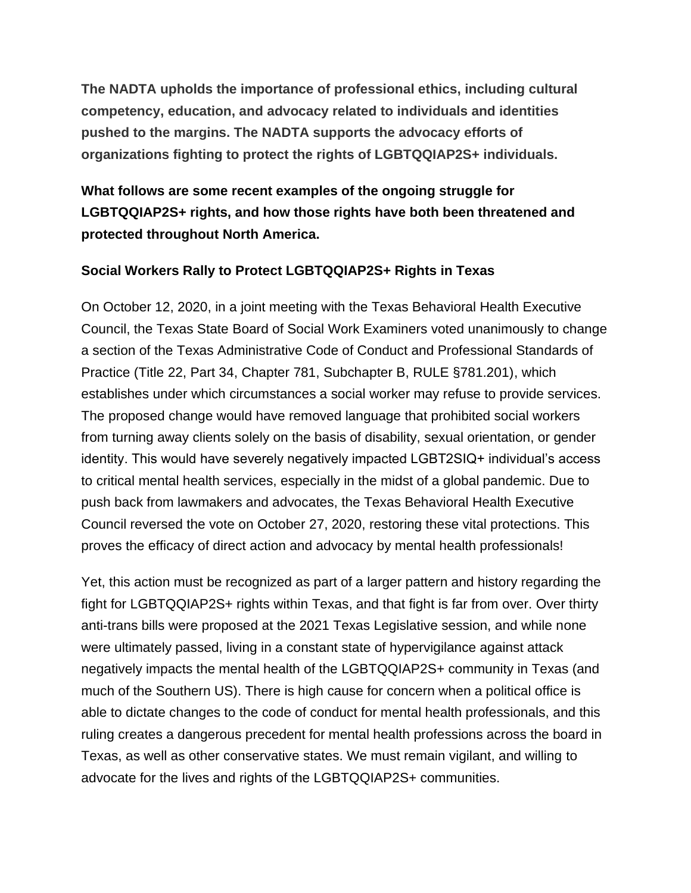**The NADTA upholds the importance of professional ethics, including cultural competency, education, and advocacy related to individuals and identities pushed to the margins. The NADTA supports the advocacy efforts of organizations fighting to protect the rights of LGBTQQIAP2S+ individuals.**

# **What follows are some recent examples of the ongoing struggle for LGBTQQIAP2S+ rights, and how those rights have both been threatened and protected throughout North America.**

### **Social Workers Rally to Protect LGBTQQIAP2S+ Rights in Texas**

On October 12, 2020, in a joint meeting with the Texas Behavioral Health Executive Council, the Texas State Board of Social Work Examiners voted unanimously to change a section of the Texas Administrative Code of Conduct and Professional Standards of Practice (Title 22, Part 34, Chapter 781, Subchapter B, RULE §781.201), which establishes under which circumstances a social worker may refuse to provide services. The proposed change would have removed language that prohibited social workers from turning away clients solely on the basis of disability, sexual orientation, or gender identity. This would have severely negatively impacted LGBT2SIQ+ individual's access to critical mental health services, especially in the midst of a global pandemic. Due to push back from lawmakers and advocates, the Texas Behavioral Health Executive Council reversed the vote on October 27, 2020, restoring these vital protections. This proves the efficacy of direct action and advocacy by mental health professionals!

Yet, this action must be recognized as part of a larger pattern and history regarding the fight for LGBTQQIAP2S+ rights within Texas, and that fight is far from over. Over thirty anti-trans bills were proposed at the 2021 Texas Legislative session, and while none were ultimately passed, living in a constant state of hypervigilance against attack negatively impacts the mental health of the LGBTQQIAP2S+ community in Texas (and much of the Southern US). There is high cause for concern when a political office is able to dictate changes to the code of conduct for mental health professionals, and this ruling creates a dangerous precedent for mental health professions across the board in Texas, as well as other conservative states. We must remain vigilant, and willing to advocate for the lives and rights of the LGBTQQIAP2S+ communities.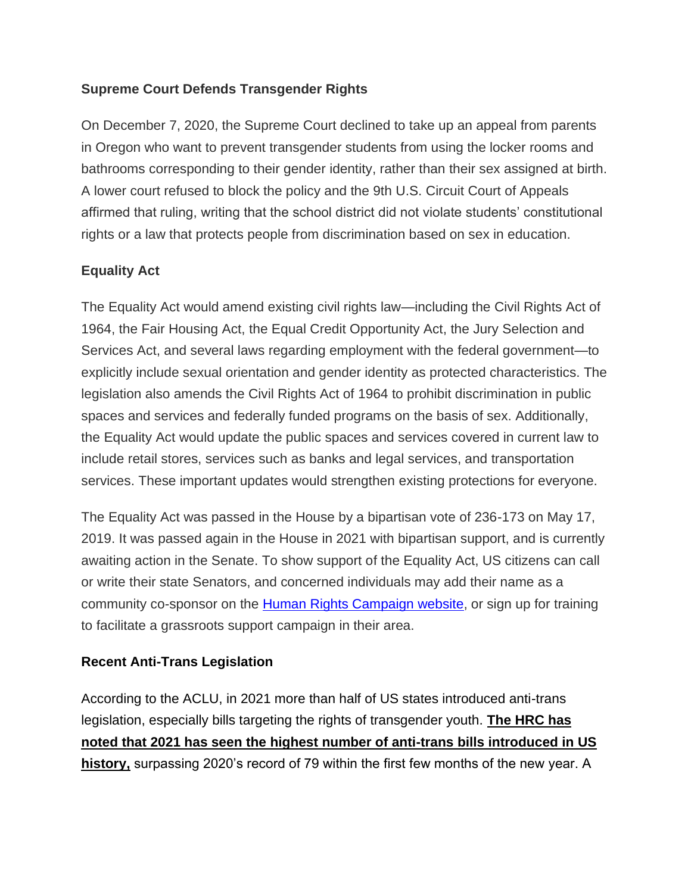### **Supreme Court Defends Transgender Rights**

On December 7, 2020, the Supreme Court declined to take up an appeal from parents in Oregon who want to prevent transgender students from using the locker rooms and bathrooms corresponding to their gender identity, rather than their sex assigned at birth. A lower court refused to block the policy and the 9th U.S. Circuit Court of Appeals affirmed that ruling, writing that the school district did not violate students' constitutional rights or a law that protects people from discrimination based on sex in education.

## **Equality Act**

The Equality Act would amend existing civil rights law—including the Civil Rights Act of 1964, the Fair Housing Act, the Equal Credit Opportunity Act, the Jury Selection and Services Act, and several laws regarding employment with the federal government—to explicitly include sexual orientation and gender identity as protected characteristics. The legislation also amends the Civil Rights Act of 1964 to prohibit discrimination in public spaces and services and federally funded programs on the basis of sex. Additionally, the Equality Act would update the public spaces and services covered in current law to include retail stores, services such as banks and legal services, and transportation services. These important updates would strengthen existing protections for everyone.

The Equality Act was passed in the House by a bipartisan vote of 236-173 on May 17, 2019. It was passed again in the House in 2021 with bipartisan support, and is currently awaiting action in the Senate. To show support of the Equality Act, US citizens can call or write their state Senators, and concerned individuals may add their name as a community co-sponsor on the [Human Rights Campaign website,](https://www.hrc.org/campaigns/equality-act) or sign up for training to facilitate a grassroots support campaign in their area.

## **Recent Anti-Trans Legislation**

According to the ACLU, in 2021 more than half of US states introduced anti-trans legislation, especially bills targeting the rights of transgender youth. **The HRC has noted that 2021 has seen the highest number of anti-trans bills introduced in US history,** surpassing 2020's record of 79 within the first few months of the new year. A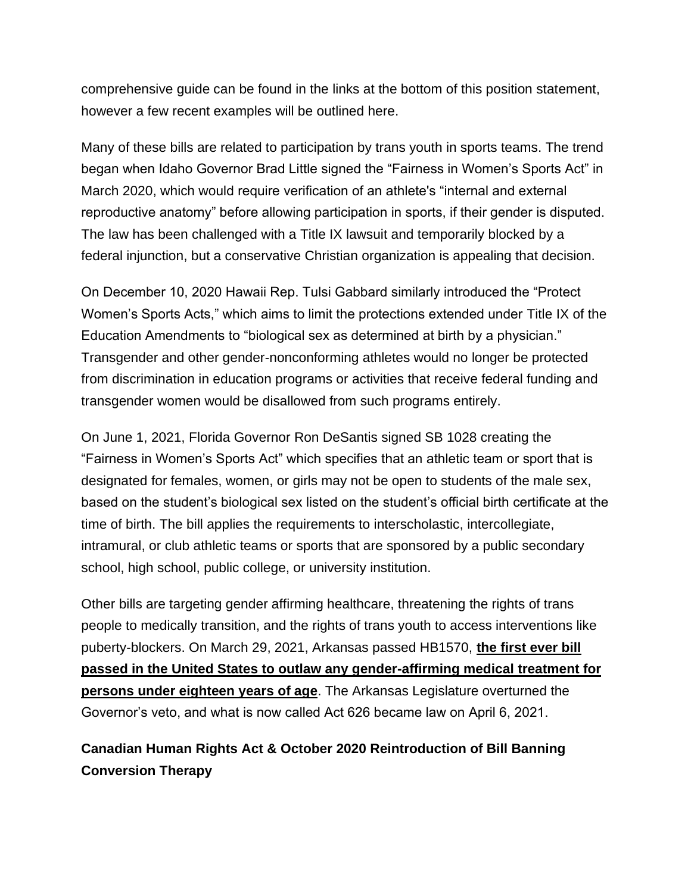comprehensive guide can be found in the links at the bottom of this position statement, however a few recent examples will be outlined here.

Many of these bills are related to participation by trans youth in sports teams. The trend began when Idaho Governor Brad Little signed the "Fairness in Women's Sports Act" in March 2020, which would require verification of an athlete's "internal and external reproductive anatomy" before allowing participation in sports, if their gender is disputed. The law has been challenged with a Title IX lawsuit and temporarily blocked by a federal injunction, but a conservative Christian organization is appealing that decision.

On December 10, 2020 Hawaii Rep. Tulsi Gabbard similarly introduced the "Protect Women's Sports Acts," which aims to limit the protections extended under Title IX of the Education Amendments to "biological sex as determined at birth by a physician." Transgender and other gender-nonconforming athletes would no longer be protected from discrimination in education programs or activities that receive federal funding and transgender women would be disallowed from such programs entirely.

On June 1, 2021, Florida Governor Ron DeSantis signed SB 1028 creating the "Fairness in Women's Sports Act" which specifies that an athletic team or sport that is designated for females, women, or girls may not be open to students of the male sex, based on the student's biological sex listed on the student's official birth certificate at the time of birth. The bill applies the requirements to interscholastic, intercollegiate, intramural, or club athletic teams or sports that are sponsored by a public secondary school, high school, public college, or university institution.

Other bills are targeting gender affirming healthcare, threatening the rights of trans people to medically transition, and the rights of trans youth to access interventions like puberty-blockers. On March 29, 2021, Arkansas passed HB1570, **the first ever bill passed in the United States to outlaw any gender-affirming medical treatment for persons under eighteen years of age**. The Arkansas Legislature overturned the Governor's veto, and what is now called Act 626 became law on April 6, 2021.

# **Canadian Human Rights Act & October 2020 Reintroduction of Bill Banning Conversion Therapy**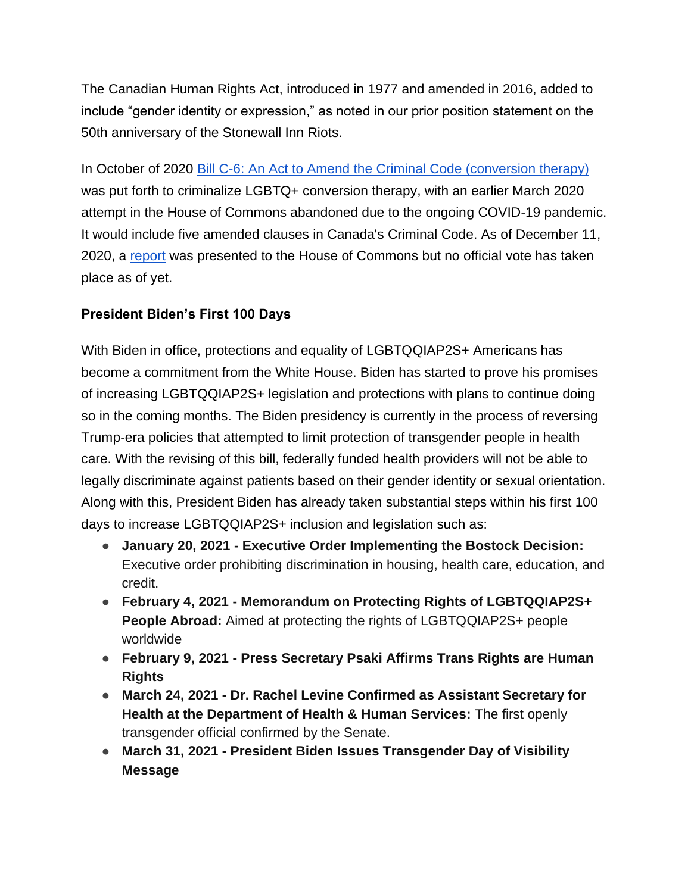The Canadian Human Rights Act, introduced in 1977 and amended in 2016, added to include "gender identity or expression," as noted in our prior position statement on the 50th anniversary of the Stonewall Inn Riots.

In October of 2020 [Bill C-6: An Act to Amend the Criminal Code \(conversion therapy\)](https://www.ourcommons.ca/Committees/en/JUST/StudyActivity?studyActivityId=10980515) was put forth to criminalize LGBTQ+ conversion therapy, with an earlier March 2020 attempt in the House of Commons abandoned due to the ongoing COVID-19 pandemic. It would include five amended clauses in Canada's Criminal Code. As of December 11, 2020, a [report](https://www.ourcommons.ca/DocumentViewer/en/43-2/JUST/report-5/) was presented to the House of Commons but no official vote has taken place as of yet.

## **President Biden's First 100 Days**

With Biden in office, protections and equality of LGBTQQIAP2S+ Americans has become a commitment from the White House. Biden has started to prove his promises of increasing LGBTQQIAP2S+ legislation and protections with plans to continue doing so in the coming months. The Biden presidency is currently in the process of reversing Trump-era policies that attempted to limit protection of transgender people in health care. With the revising of this bill, federally funded health providers will not be able to legally discriminate against patients based on their gender identity or sexual orientation. Along with this, President Biden has already taken substantial steps within his first 100 days to increase LGBTQQIAP2S+ inclusion and legislation such as:

- **January 20, 2021 - Executive Order Implementing the Bostock Decision:**  Executive order prohibiting discrimination in housing, health care, education, and credit.
- **February 4, 2021 - Memorandum on Protecting Rights of LGBTQQIAP2S+ People Abroad:** Aimed at protecting the rights of LGBTQQIAP2S+ people worldwide
- **February 9, 2021 - Press Secretary Psaki Affirms Trans Rights are Human Rights**
- **March 24, 2021 - Dr. Rachel Levine Confirmed as Assistant Secretary for Health at the Department of Health & Human Services:** The first openly transgender official confirmed by the Senate.
- **March 31, 2021 - President Biden Issues Transgender Day of Visibility Message**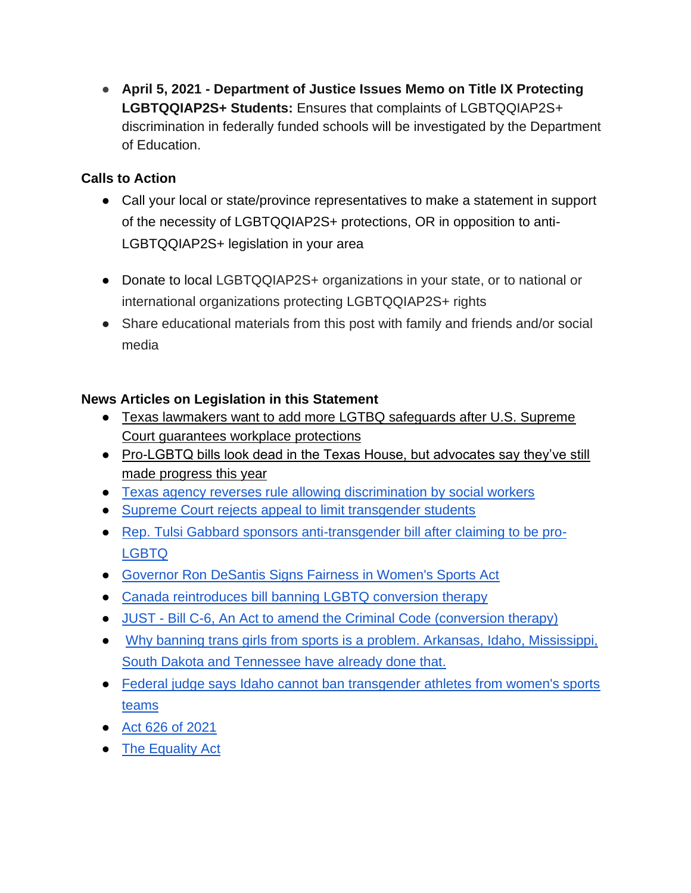● **April 5, 2021 - Department of Justice Issues Memo on Title IX Protecting LGBTQQIAP2S+ Students:** Ensures that complaints of LGBTQQIAP2S+ discrimination in federally funded schools will be investigated by the Department of Education.

## **Calls to Action**

- Call your local or state/province representatives to make a statement in support of the necessity of LGBTQQIAP2S+ protections, OR in opposition to anti-LGBTQQIAP2S+ legislation in your area
- Donate to local LGBTQQIAP2S+ organizations in your state, or to national or international organizations protecting LGBTQQIAP2S+ rights
- Share educational materials from this post with family and friends and/or social media

## **News Articles on Legislation in this Statement**

- [Texas lawmakers want to add more LGTBQ safeguards after U.S. Supreme](https://www.texastribune.org/2020/06/17/lgbtq-texas-nondiscrimination-comprehensive/)  [Court guarantees workplace protections](https://www.texastribune.org/2020/06/17/lgbtq-texas-nondiscrimination-comprehensive/)
- Pro-LGBTQ bills look dead in the Texas House, but advocates say they've still [made progress this year](https://www.texastribune.org/2019/05/07/LGBTQ-gay-rights-bills-texas-house-dead-advocates-progress-hearings/)
- [Texas agency reverses rule allowing discrimination by social workers](https://www.texastribune.org/2020/10/27/texas-social-workers-lgbtq-disabilities-discrimination/)
- [Supreme Court rejects appeal to limit transgender students](https://apnews.com/article/supreme-court-rejects-limit-transgender-92a6800a608d54d726880560abb745f4)
- [Rep. Tulsi Gabbard sponsors anti-transgender bill after claiming to be pro-](https://thehill.com/changing-america/respect/diversity-inclusion/529811-rep-tulsi-gabbard-sponsors-anti-transgender-bill)[LGBTQ](https://thehill.com/changing-america/respect/diversity-inclusion/529811-rep-tulsi-gabbard-sponsors-anti-transgender-bill)
- [Governor Ron DeSantis Signs Fairness in Women's Sports Act](https://www.flgov.com/2021/06/01/governor-ron-desantis-signs-fairness-in-womens-sports-act/)
- [Canada reintroduces bill banning LGBTQ conversion therapy](https://www.google.com/amp/s/www.nbcnews.com/news/amp/ncna1241822)
- JUST [Bill C-6, An Act to amend the Criminal Code \(conversion therapy\)](https://www.ourcommons.ca/Committees/en/JUST/StudyActivity?studyActivityId=10980515)
- [Why banning trans girls from sports is a problem. Arkansas, Idaho, Mississippi,](https://www.washingtonpost.com/politics/2021/04/16/five-states-ban-transgender-girls-girls-school-sports-segregating-sports-by-sex-hurts-all-girls/)  [South Dakota and Tennessee have already done that.](https://www.washingtonpost.com/politics/2021/04/16/five-states-ban-transgender-girls-girls-school-sports-segregating-sports-by-sex-hurts-all-girls/)
- [Federal judge says Idaho cannot ban transgender athletes from women's sports](https://www.cnn.com/2020/08/18/us/idaho-transgender-athletes-ban-blocked/index.html)  [teams](https://www.cnn.com/2020/08/18/us/idaho-transgender-athletes-ban-blocked/index.html)
- [Act 626 of 2021](https://encyclopediaofarkansas.net/entries/act-626-of-2021-15789/)
- [The Equality Act](https://www.hrc.org/resources/the-equality-act)